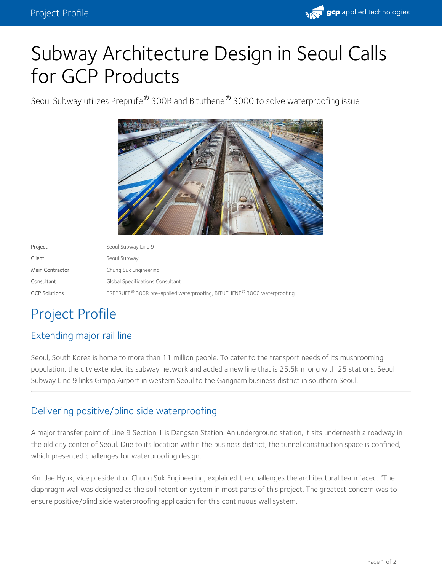

# Subway Architecture Design in Seoul Calls for GCP Products

Seoul Subway utilizes Preprufe® 300R and Bituthene® 3000 to solve waterproofing issue



| Project              | Seoul Subway Line 9                                                     |
|----------------------|-------------------------------------------------------------------------|
| Client               | Seoul Subway                                                            |
| Main Contractor      | Chung Suk Engineering                                                   |
| Consultant           | Global Specifications Consultant                                        |
| <b>GCP Solutions</b> | PREPRUFE® 300R pre-applied waterproofing, BITUTHENE® 3000 waterproofing |

## Project Profile

### Extending major rail line

Seoul, South Korea is home to more than 11 million people. To cater to the transport needs of its mushrooming population, the city extended its subway network and added a new line that is 25.5km long with 25 stations. Seoul Subway Line 9 links Gimpo Airport in western Seoul to the Gangnam business district in southern Seoul.

### Delivering positive/blind side waterproofing

A major transfer point of Line 9 Section 1 is Dangsan Station. An underground station, it sits underneath a roadway in the old city center of Seoul. Due to its location within the business district, the tunnel construction space is confined, which presented challenges for waterproofing design.

Kim Jae Hyuk, vice president of Chung Suk Engineering, explained the challenges the architectural team faced. "The diaphragm wall was designed as the soil retention system in most parts of this project. The greatest concern was to ensure positive/blind side waterproofing application for this continuous wall system.